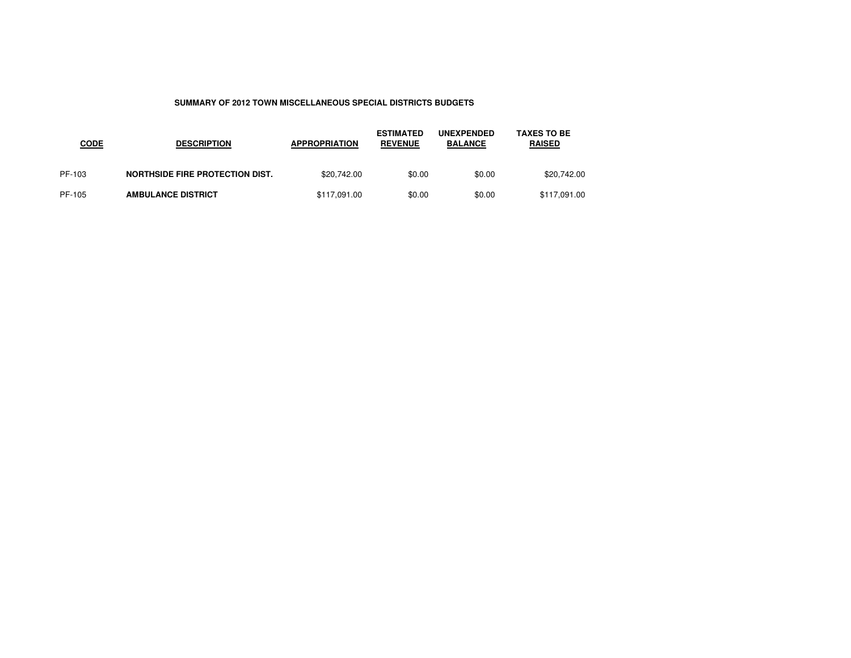## **SUMMARY OF 2012 TOWN MISCELLANEOUS SPECIAL DISTRICTS BUDGETS**

| <b>CODE</b> | <b>DESCRIPTION</b>                     | <b>APPROPRIATION</b> | <b>ESTIMATED</b><br><b>REVENUE</b> | <b>UNEXPENDED</b><br><b>BALANCE</b> | <b>TAXES TO BE</b><br><b>RAISED</b> |
|-------------|----------------------------------------|----------------------|------------------------------------|-------------------------------------|-------------------------------------|
| PF-103      | <b>NORTHSIDE FIRE PROTECTION DIST.</b> | \$20,742.00          | \$0.00                             | \$0.00                              | \$20,742.00                         |
| PF-105      | <b>AMBULANCE DISTRICT</b>              | \$117,091.00         | \$0.00                             | \$0.00                              | \$117,091.00                        |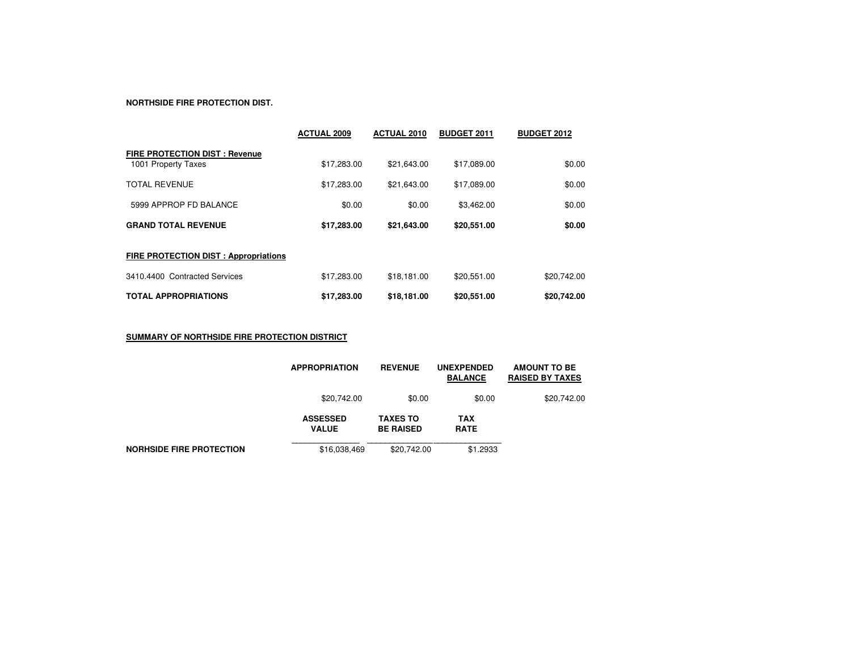## **NORTHSIDE FIRE PROTECTION DIST.**

|                                                             | <b>ACTUAL 2009</b> | <b>ACTUAL 2010</b> | <b>BUDGET 2011</b> | <b>BUDGET 2012</b> |
|-------------------------------------------------------------|--------------------|--------------------|--------------------|--------------------|
| <b>FIRE PROTECTION DIST: Revenue</b><br>1001 Property Taxes | \$17,283.00        | \$21,643.00        | \$17,089.00        | \$0.00             |
| <b>TOTAL REVENUE</b>                                        | \$17,283.00        | \$21,643.00        | \$17,089.00        | \$0.00             |
| 5999 APPROP FD BALANCE                                      | \$0.00             | \$0.00             | \$3,462.00         | \$0.00             |
| <b>GRAND TOTAL REVENUE</b>                                  | \$17,283.00        | \$21,643.00        | \$20,551.00        | \$0.00             |
| FIRE PROTECTION DIST : Appropriations                       |                    |                    |                    |                    |
| 3410.4400 Contracted Services                               | \$17,283.00        | \$18,181.00        | \$20.551.00        | \$20,742.00        |
| <b>TOTAL APPROPRIATIONS</b>                                 | \$17,283.00        | \$18,181.00        | \$20,551.00        | \$20,742.00        |

**SUMMARY OF NORTHSIDE FIRE PROTECTION DISTRICT**

|                                 | <b>APPROPRIATION</b>            | <b>REVENUE</b>                      | <b>UNEXPENDED</b><br><b>BALANCE</b> | <b>AMOUNT TO BE</b><br><b>RAISED BY TAXES</b> |
|---------------------------------|---------------------------------|-------------------------------------|-------------------------------------|-----------------------------------------------|
|                                 | \$20,742.00                     | \$0.00                              | \$0.00                              | \$20,742.00                                   |
|                                 | <b>ASSESSED</b><br><b>VALUE</b> | <b>TAXES TO</b><br><b>BE RAISED</b> | <b>TAX</b><br><b>RATE</b>           |                                               |
| <b>NORHSIDE FIRE PROTECTION</b> | \$16,038,469                    | \$20.742.00                         | \$1.2933                            |                                               |